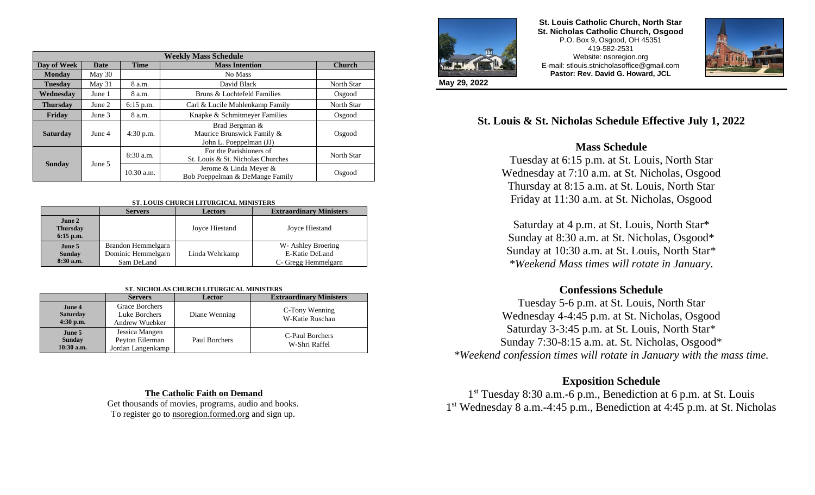| <b>Weekly Mass Schedule</b> |        |              |                                                                         |               |  |  |
|-----------------------------|--------|--------------|-------------------------------------------------------------------------|---------------|--|--|
| Day of Week                 | Date   | <b>Time</b>  | <b>Mass Intention</b>                                                   | <b>Church</b> |  |  |
| <b>Monday</b>               | May 30 |              | No Mass                                                                 |               |  |  |
| <b>Tuesday</b>              | May 31 | 8 a.m.       | David Black                                                             | North Star    |  |  |
| <b>Wednesday</b>            | June 1 | 8 a.m.       | Bruns & Lochtefeld Families                                             | Osgood        |  |  |
| <b>Thursday</b>             | June 2 | $6:15$ p.m.  | Carl & Lucile Muhlenkamp Family                                         | North Star    |  |  |
| Friday                      | June 3 | 8 a.m.       | Knapke & Schmitmeyer Families                                           | Osgood        |  |  |
| <b>Saturday</b>             | June 4 | 4:30 p.m.    | Brad Bergman &<br>Maurice Brunswick Family &<br>John L. Poeppelman (JJ) | Osgood        |  |  |
| <b>Sunday</b>               | June 5 | $8:30$ a.m.  | For the Parishioners of<br>St. Louis & St. Nicholas Churches            | North Star    |  |  |
|                             |        | $10:30$ a.m. | Jerome & Linda Meyer &<br>Bob Poeppelman & DeMange Family               | Osgood        |  |  |

#### **ST. LOUIS CHURCH LITURGICAL MINISTERS**

|                                          | <b>Servers</b>                                         | <b>Lectors</b> | <b>Extraordinary Ministers</b>                              |
|------------------------------------------|--------------------------------------------------------|----------------|-------------------------------------------------------------|
| June 2<br><b>Thursday</b><br>$6:15$ p.m. |                                                        | Joyce Hiestand | Joyce Hiestand                                              |
| June 5<br><b>Sunday</b><br>$8:30$ a.m.   | Brandon Hemmelgarn<br>Dominic Hemmelgarn<br>Sam DeLand | Linda Wehrkamp | W- Ashley Broering<br>E-Katie DeLand<br>C- Gregg Hemmelgarn |

#### **ST. NICHOLAS CHURCH LITURGICAL MINISTERS**

|                                          | <b>Servers</b>                                         | Lector        | <b>Extraordinary Ministers</b>    |  |  |
|------------------------------------------|--------------------------------------------------------|---------------|-----------------------------------|--|--|
| June 4<br><b>Saturday</b><br>$4:30$ p.m. | Grace Borchers<br>Luke Borchers<br>Andrew Wuebker      | Diane Wenning | C-Tony Wenning<br>W-Katie Ruschau |  |  |
| June 5<br><b>Sunday</b><br>$10:30$ a.m.  | Jessica Mangen<br>Peyton Eilerman<br>Jordan Langenkamp | Paul Borchers | C-Paul Borchers<br>W-Shri Raffel  |  |  |

#### **The Catholic Faith on Demand**

Get thousands of movies, programs, audio and books. To register go to nsoregion.formed.org and sign up.



#### **St. Louis Catholic Church, North Star St. Nicholas Catholic Church, Osgood** P.O. Box 9, Osgood, OH 45351 419-582-2531 Website: nsoregion.org E-mail: stlouis.stnicholasoffice@gmail.com **Pastor: Rev. David G. Howard, JCL**



**May 29, 2022**

# **St. Louis & St. Nicholas Schedule Effective July 1, 2022**

# **Mass Schedule**

Tuesday at 6:15 p.m. at St. Louis, North Star Wednesday at 7:10 a.m. at St. Nicholas, Osgood Thursday at 8:15 a.m. at St. Louis, North Star Friday at 11:30 a.m. at St. Nicholas, Osgood

Saturday at 4 p.m. at St. Louis, North Star\* Sunday at 8:30 a.m. at St. Nicholas, Osgood\* Sunday at 10:30 a.m. at St. Louis, North Star\* *\*Weekend Mass times will rotate in January.*

# **Confessions Schedule**

Tuesday 5-6 p.m. at St. Louis, North Star Wednesday 4-4:45 p.m. at St. Nicholas, Osgood Saturday 3-3:45 p.m. at St. Louis, North Star\* Sunday 7:30-8:15 a.m. at. St. Nicholas, Osgood\* *\*Weekend confession times will rotate in January with the mass time.*

# **Exposition Schedule**

1 st Tuesday 8:30 a.m.-6 p.m., Benediction at 6 p.m. at St. Louis 1 st Wednesday 8 a.m.-4:45 p.m., Benediction at 4:45 p.m. at St. Nicholas